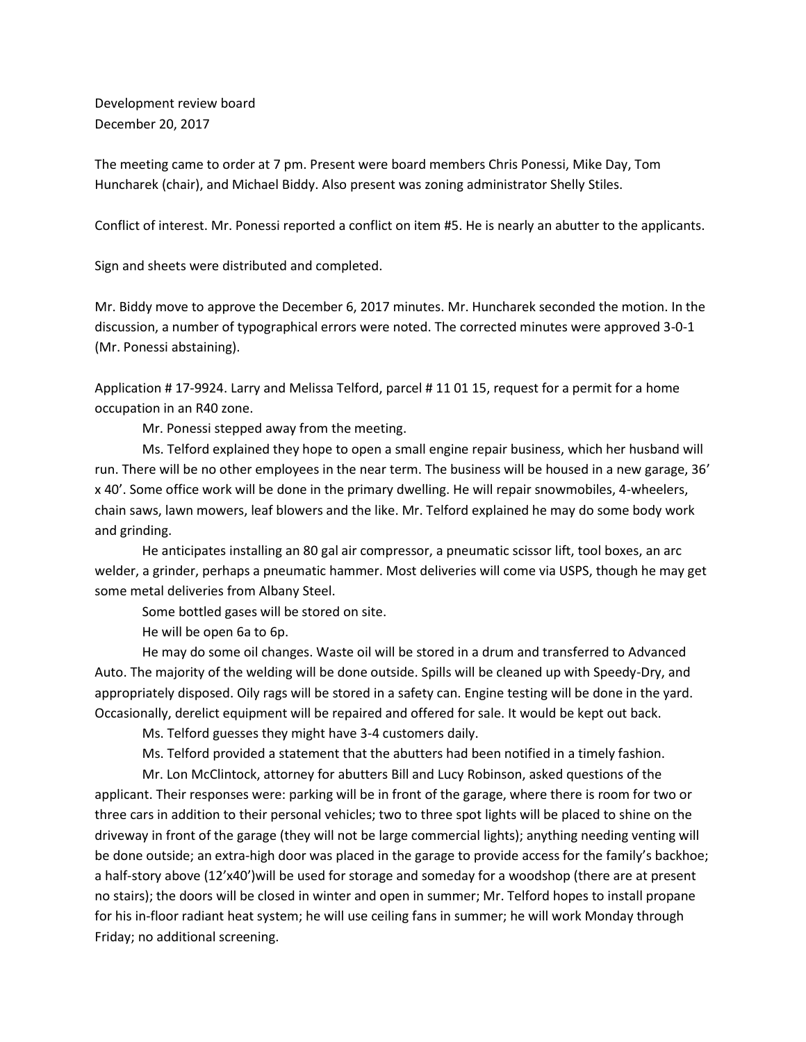Development review board December 20, 2017

The meeting came to order at 7 pm. Present were board members Chris Ponessi, Mike Day, Tom Huncharek (chair), and Michael Biddy. Also present was zoning administrator Shelly Stiles.

Conflict of interest. Mr. Ponessi reported a conflict on item #5. He is nearly an abutter to the applicants.

Sign and sheets were distributed and completed.

Mr. Biddy move to approve the December 6, 2017 minutes. Mr. Huncharek seconded the motion. In the discussion, a number of typographical errors were noted. The corrected minutes were approved 3-0-1 (Mr. Ponessi abstaining).

Application # 17-9924. Larry and Melissa Telford, parcel # 11 01 15, request for a permit for a home occupation in an R40 zone.

Mr. Ponessi stepped away from the meeting.

Ms. Telford explained they hope to open a small engine repair business, which her husband will run. There will be no other employees in the near term. The business will be housed in a new garage, 36' x 40'. Some office work will be done in the primary dwelling. He will repair snowmobiles, 4-wheelers, chain saws, lawn mowers, leaf blowers and the like. Mr. Telford explained he may do some body work and grinding.

He anticipates installing an 80 gal air compressor, a pneumatic scissor lift, tool boxes, an arc welder, a grinder, perhaps a pneumatic hammer. Most deliveries will come via USPS, though he may get some metal deliveries from Albany Steel.

Some bottled gases will be stored on site.

He will be open 6a to 6p.

He may do some oil changes. Waste oil will be stored in a drum and transferred to Advanced Auto. The majority of the welding will be done outside. Spills will be cleaned up with Speedy-Dry, and appropriately disposed. Oily rags will be stored in a safety can. Engine testing will be done in the yard. Occasionally, derelict equipment will be repaired and offered for sale. It would be kept out back.

Ms. Telford guesses they might have 3-4 customers daily.

Ms. Telford provided a statement that the abutters had been notified in a timely fashion.

Mr. Lon McClintock, attorney for abutters Bill and Lucy Robinson, asked questions of the applicant. Their responses were: parking will be in front of the garage, where there is room for two or three cars in addition to their personal vehicles; two to three spot lights will be placed to shine on the driveway in front of the garage (they will not be large commercial lights); anything needing venting will be done outside; an extra-high door was placed in the garage to provide access for the family's backhoe; a half-story above (12'x40')will be used for storage and someday for a woodshop (there are at present no stairs); the doors will be closed in winter and open in summer; Mr. Telford hopes to install propane for his in-floor radiant heat system; he will use ceiling fans in summer; he will work Monday through Friday; no additional screening.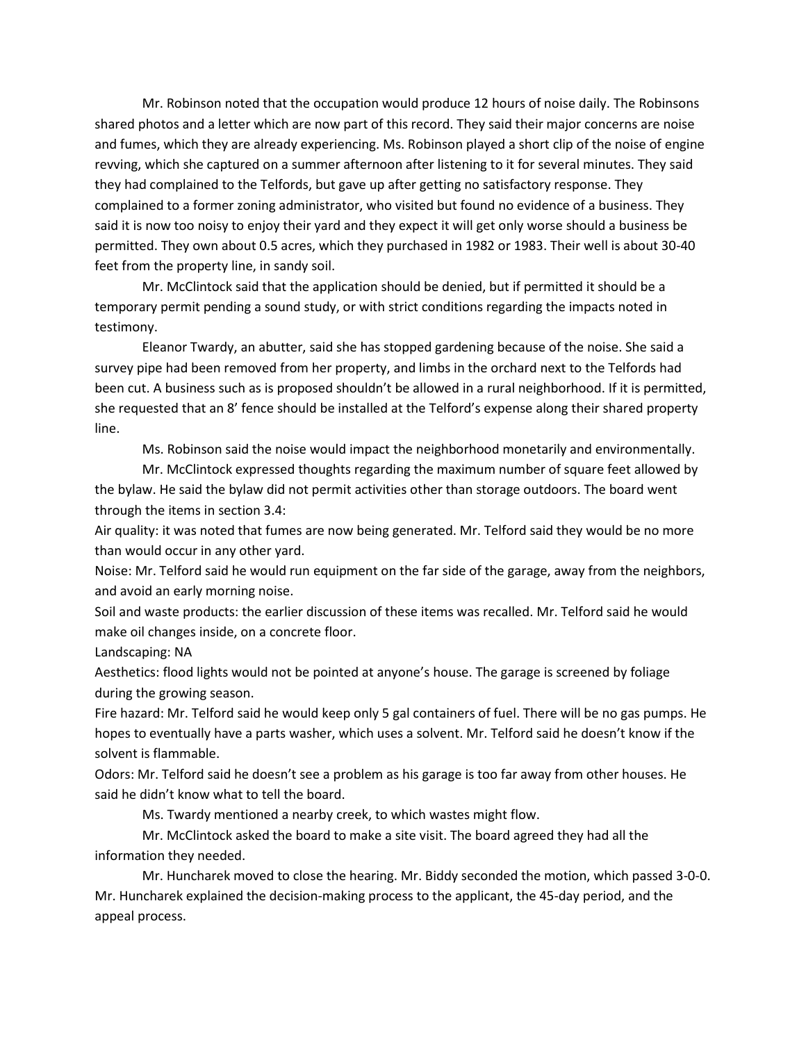Mr. Robinson noted that the occupation would produce 12 hours of noise daily. The Robinsons shared photos and a letter which are now part of this record. They said their major concerns are noise and fumes, which they are already experiencing. Ms. Robinson played a short clip of the noise of engine revving, which she captured on a summer afternoon after listening to it for several minutes. They said they had complained to the Telfords, but gave up after getting no satisfactory response. They complained to a former zoning administrator, who visited but found no evidence of a business. They said it is now too noisy to enjoy their yard and they expect it will get only worse should a business be permitted. They own about 0.5 acres, which they purchased in 1982 or 1983. Their well is about 30-40 feet from the property line, in sandy soil.

Mr. McClintock said that the application should be denied, but if permitted it should be a temporary permit pending a sound study, or with strict conditions regarding the impacts noted in testimony.

Eleanor Twardy, an abutter, said she has stopped gardening because of the noise. She said a survey pipe had been removed from her property, and limbs in the orchard next to the Telfords had been cut. A business such as is proposed shouldn't be allowed in a rural neighborhood. If it is permitted, she requested that an 8' fence should be installed at the Telford's expense along their shared property line.

Ms. Robinson said the noise would impact the neighborhood monetarily and environmentally.

Mr. McClintock expressed thoughts regarding the maximum number of square feet allowed by the bylaw. He said the bylaw did not permit activities other than storage outdoors. The board went through the items in section 3.4:

Air quality: it was noted that fumes are now being generated. Mr. Telford said they would be no more than would occur in any other yard.

Noise: Mr. Telford said he would run equipment on the far side of the garage, away from the neighbors, and avoid an early morning noise.

Soil and waste products: the earlier discussion of these items was recalled. Mr. Telford said he would make oil changes inside, on a concrete floor.

Landscaping: NA

Aesthetics: flood lights would not be pointed at anyone's house. The garage is screened by foliage during the growing season.

Fire hazard: Mr. Telford said he would keep only 5 gal containers of fuel. There will be no gas pumps. He hopes to eventually have a parts washer, which uses a solvent. Mr. Telford said he doesn't know if the solvent is flammable.

Odors: Mr. Telford said he doesn't see a problem as his garage is too far away from other houses. He said he didn't know what to tell the board.

Ms. Twardy mentioned a nearby creek, to which wastes might flow.

Mr. McClintock asked the board to make a site visit. The board agreed they had all the information they needed.

Mr. Huncharek moved to close the hearing. Mr. Biddy seconded the motion, which passed 3-0-0. Mr. Huncharek explained the decision-making process to the applicant, the 45-day period, and the appeal process.